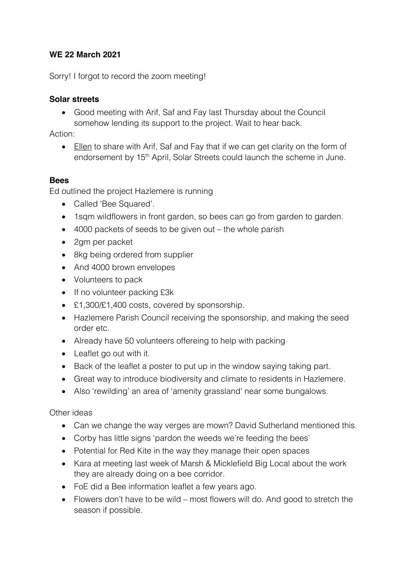## **WE 22 March 2021**

Sorry! I forgot to record the zoom meeting!

## **Solar streets**

• Good meeting with Arif, Saf and Fay last Thursday about the Council somehow lending its support to the project. Wait to hear back.

Action:

• Ellen to share with Arif, Saf and Fay that if we can get clarity on the form of endorsement by 15<sup>th</sup> April, Solar Streets could launch the scheme in June.

## **Bees**

Ed outlined the project Hazlemere is running

- Called 'Bee Squared'.
- 1sqm wildflowers in front garden, so bees can go from garden to garden.
- 4000 packets of seeds to be given out the whole parish
- 2gm per packet
- 8kg being ordered from supplier
- And 4000 brown envelopes
- Volunteers to pack
- If no volunteer packing £3k
- £1,300/£1,400 costs, covered by sponsorship.
- Hazlemere Parish Council receiving the sponsorship, and making the seed order etc.
- Already have 50 volunteers offereing to help with packing
- Leaflet go out with it.
- Back of the leaflet a poster to put up in the window saying taking part.
- Great way to introduce biodiversity and climate to residents in Hazlemere.
- Also 'rewilding' an area of 'amenity grassland' near some bungalows.

## Other ideas

- Can we change the way verges are mown? David Sutherland mentioned this.
- Corby has little signs 'pardon the weeds we're feeding the bees'
- Potential for Red Kite in the way they manage their open spaces
- Kara at meeting last week of Marsh & Micklefield Big Local about the work they are already doing on a bee corridor.
- FoE did a Bee information leaflet a few years ago.
- Flowers don't have to be wild most flowers will do. And good to stretch the season if possible.